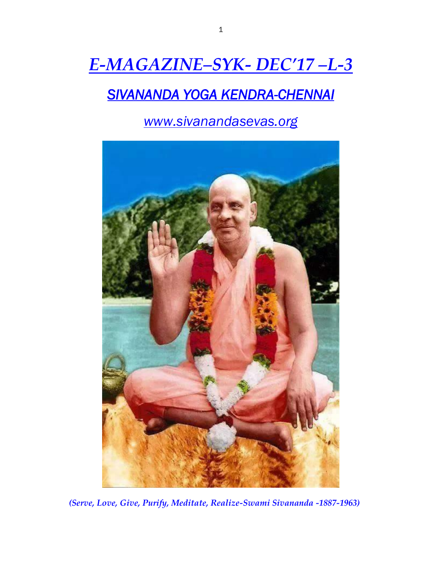# *E-MAGAZINE–SYK- DEC'17 –L-3*

## *SIVANANDA YOGA KENDRA-CHENNAI*

*www.sivanandasevas.org*



*(Serve, Love, Give, Purify, Meditate, Realize-Swami Sivananda -1887-1963)*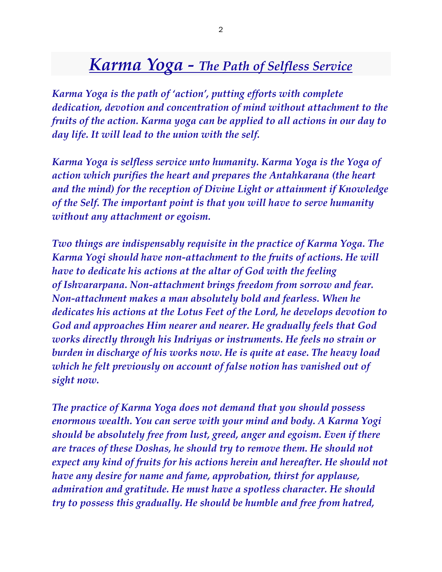## *Karma Yoga - The Path of Selfless Service*

*Karma Yoga is the path of 'action', putting efforts with complete dedication, devotion and concentration of mind without attachment to the fruits of the action. Karma yoga can be applied to all actions in our day to day life. It will lead to the union with the self.*

*Karma Yoga is selfless service unto humanity. Karma Yoga is the Yoga of action which purifies the heart and prepares the Antahkarana (the heart and the mind) for the reception of Divine Light or attainment if Knowledge of the Self. The important point is that you will have to serve humanity without any attachment or egoism.*

*Two things are indispensably requisite in the practice of Karma Yoga. The Karma Yogi should have non-attachment to the fruits of actions. He will have to dedicate his actions at the altar of God with the feeling of Ishvararpana. Non-attachment brings freedom from sorrow and fear. Non-attachment makes a man absolutely bold and fearless. When he dedicates his actions at the Lotus Feet of the Lord, he develops devotion to God and approaches Him nearer and nearer. He gradually feels that God works directly through his Indriyas or instruments. He feels no strain or burden in discharge of his works now. He is quite at ease. The heavy load which he felt previously on account of false notion has vanished out of sight now.*

*The practice of Karma Yoga does not demand that you should possess enormous wealth. You can serve with your mind and body. A Karma Yogi should be absolutely free from lust, greed, anger and egoism. Even if there are traces of these Doshas, he should try to remove them. He should not expect any kind of fruits for his actions herein and hereafter. He should not have any desire for name and fame, approbation, thirst for applause, admiration and gratitude. He must have a spotless character. He should try to possess this gradually. He should be humble and free from hatred,*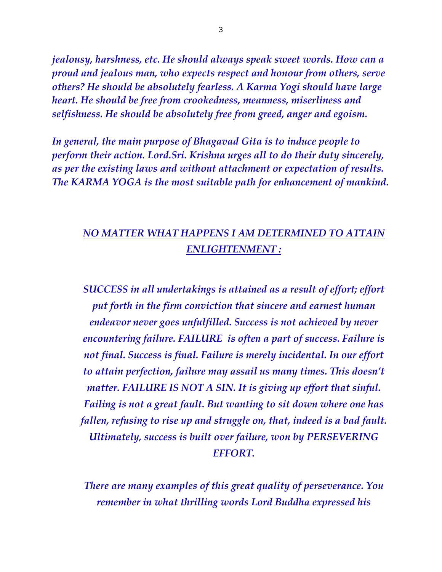*jealousy, harshness, etc. He should always speak sweet words. How can a proud and jealous man, who expects respect and honour from others, serve others? He should be absolutely fearless. A Karma Yogi should have large heart. He should be free from crookedness, meanness, miserliness and selfishness. He should be absolutely free from greed, anger and egoism.*

*In general, the main purpose of Bhagavad Gita is to induce people to perform their action. Lord.Sri. Krishna urges all to do their duty sincerely, as per the existing laws and without attachment or expectation of results. The KARMA YOGA is the most suitable path for enhancement of mankind.*

#### *NO MATTER WHAT HAPPENS I AM DETERMINED TO ATTAIN ENLIGHTENMENT :*

*SUCCESS in all undertakings is attained as a result of effort; effort put forth in the firm conviction that sincere and earnest human endeavor never goes unfulfilled. Success is not achieved by never encountering failure. FAILURE is often a part of success. Failure is not final. Success is final. Failure is merely incidental. In our effort to attain perfection, failure may assail us many times. This doesn't matter. FAILURE IS NOT A SIN. It is giving up effort that sinful. Failing is not a great fault. But wanting to sit down where one has fallen, refusing to rise up and struggle on, that, indeed is a bad fault. Ultimately, success is built over failure, won by PERSEVERING EFFORT.*

*There are many examples of this great quality of perseverance. You remember in what thrilling words Lord Buddha expressed his*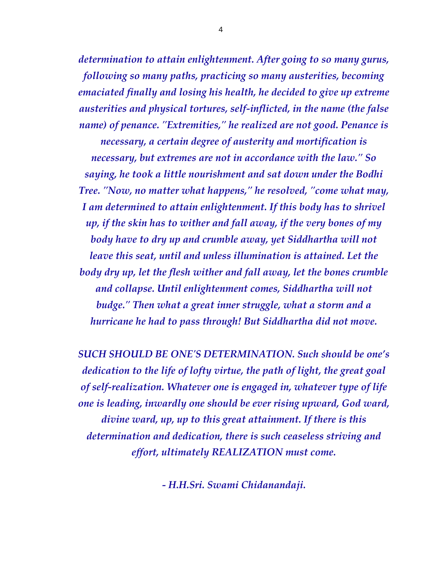*determination to attain enlightenment. After going to so many gurus, following so many paths, practicing so many austerities, becoming emaciated finally and losing his health, he decided to give up extreme austerities and physical tortures, self-inflicted, in the name (the false name) of penance. "Extremities," he realized are not good. Penance is necessary, a certain degree of austerity and mortification is necessary, but extremes are not in accordance with the law." So saying, he took a little nourishment and sat down under the Bodhi Tree. "Now, no matter what happens," he resolved, "come what may, I am determined to attain enlightenment. If this body has to shrivel up, if the skin has to wither and fall away, if the very bones of my body have to dry up and crumble away, yet Siddhartha will not leave this seat, until and unless illumination is attained. Let the body dry up, let the flesh wither and fall away, let the bones crumble and collapse. Until enlightenment comes, Siddhartha will not budge." Then what a great inner struggle, what a storm and a hurricane he had to pass through! But Siddhartha did not move.*

*SUCH SHOULD BE ONE'S DETERMINATION. Such should be one's dedication to the life of lofty virtue, the path of light, the great goal of self-realization. Whatever one is engaged in, whatever type of life one is leading, inwardly one should be ever rising upward, God ward, divine ward, up, up to this great attainment. If there is this determination and dedication, there is such ceaseless striving and effort, ultimately REALIZATION must come.*

*- H.H.Sri. Swami Chidanandaji.*

4